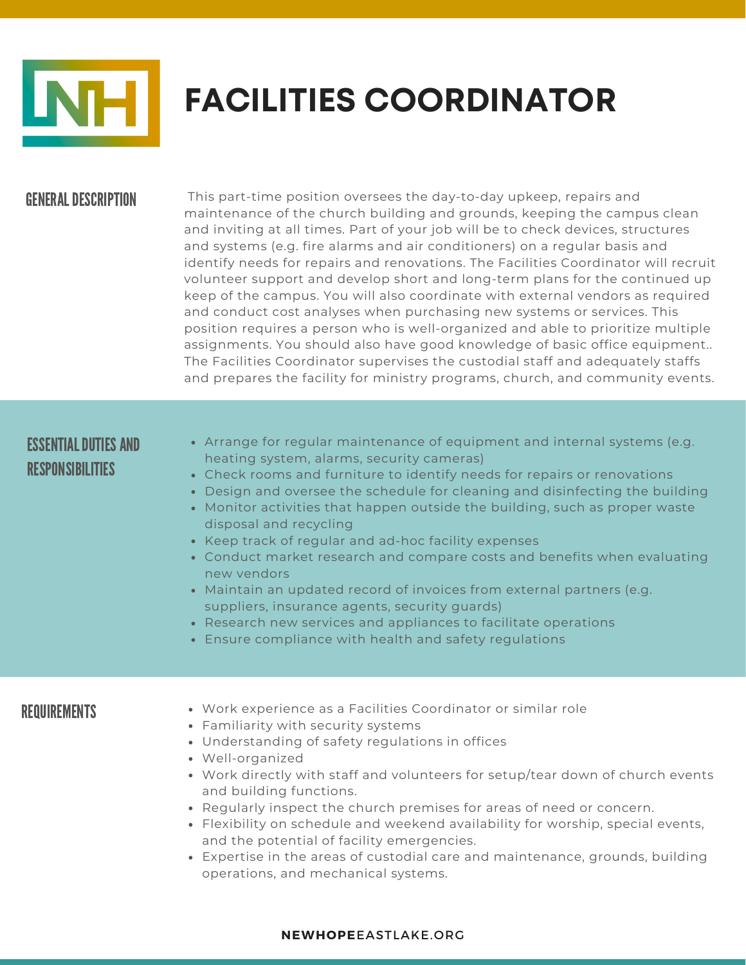

# **FACILITIES COORDINATOR**

### **GENERAL DESCRIPTION**

This part-time position oversees the day-to-day upkeep, repairs and maintenance of the church building and grounds, keeping the campus clean and inviting at all times. Part of your job will be to check devices, structures and systems (e.g. fire alarms and air conditioners) on a regular basis and identify needs for repairs and renovations. The Facilities Coordinator will recruit volunteer support and develop short and long-term plans for the continued up keep of the campus. You will also coordinate with external vendors as required and conduct cost analyses when purchasing new systems or services. This position requires a person who is well-organized and able to prioritize multiple assignments. You should also have good knowledge of basic office equipment.. The Facilities Coordinator supervises the custodial staff and adequately staffs and prepares the facility for ministry programs, church, and community events.

## ESSENTIAL DUTIES AND RESPONSIBILITIES

- Arrange for regular maintenance of equipment and internal systems (e.g. heating system, alarms, security cameras)
- Check rooms and furniture to identify needs for repairs or renovations
- Design and oversee the schedule for cleaning and disinfecting the building
- Monitor activities that happen outside the building, such as proper waste disposal and recycling
- Keep track of regular and ad-hoc facility expenses
- Conduct market research and compare costs and benefits when evaluating new vendors
- Maintain an updated record of invoices from external partners (e.g. suppliers, insurance agents, security guards)
- Research new services and appliances to facilitate operations
- Ensure compliance with health and safety regulations

- REQUIREMENTS Work experience as a Facilities Coordinator or similar role
	- Familiarity with security systems
	- Understanding of safety regulations in offices
	- Well-organized
	- Work directly with staff and volunteers for setup/tear down of church events and building functions.
	- Regularly inspect the church premises for areas of need or concern.
	- Flexibility on schedule and weekend availability for worship, special events, and the potential of facility emergencies.
	- Expertise in the areas of custodial care and maintenance, grounds, building operations, and mechanical systems.

#### **NEWHOPE**EASTLAKE.ORG